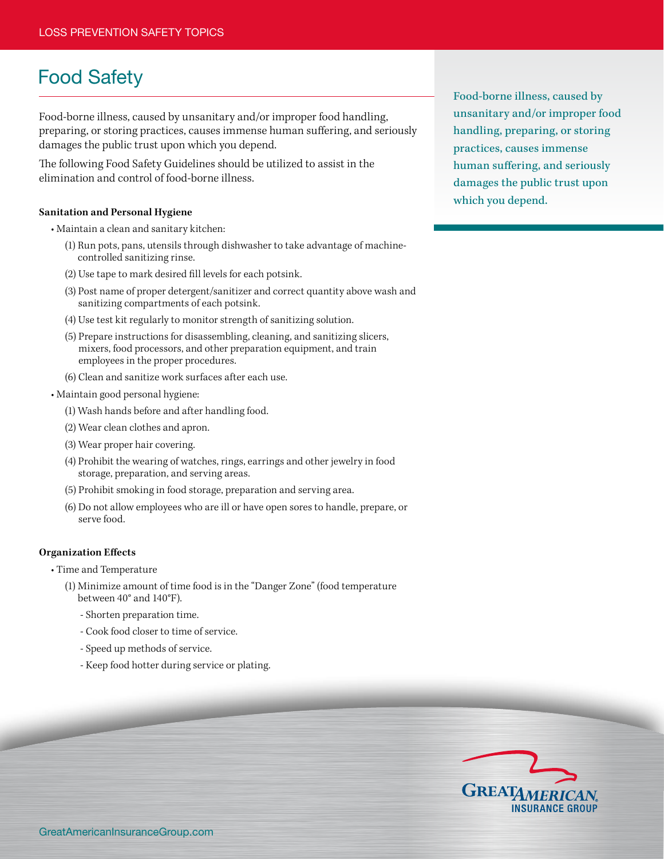# Food Safety

Food-borne illness, caused by unsanitary and/or improper food handling, preparing, or storing practices, causes immense human suffering, and seriously damages the public trust upon which you depend.

The following Food Safety Guidelines should be utilized to assist in the elimination and control of food-borne illness.

### **Sanitation and Personal Hygiene**

 • Maintain a clean and sanitary kitchen:

- (1) Run pots, pans, utensils through dishwasher to take advantage of machinecontrolled sanitizing rinse.
- (2) Use tape to mark desired fill levels for each potsink.
- (3) Post name of proper detergent/sanitizer and correct quantity above wash and sanitizing compartments of each potsink.
- (4) Use test kit regularly to monitor strength of sanitizing solution.
- (5) Prepare instructions for disassembling, cleaning, and sanitizing slicers, mixers, food processors, and other preparation equipment, and train employees in the proper procedures.
- (6) Clean and sanitize work surfaces after each use.
- Maintain good personal hygiene:
	- (1) Wash hands before and after handling food.
	- (2) Wear clean clothes and apron.
	- (3) Wear proper hair covering.
	- (4) Prohibit the wearing of watches, rings, earrings and other jewelry in food storage, preparation, and serving areas.
	- (5) Prohibit smoking in food storage, preparation and serving area.
	- (6) Do not allow employees who are ill or have open sores to handle, prepare, or serve food.

### **Organization Effects**

 • Time and Temperature

- (1) Minimize amount of time food is in the "Danger Zone" (food temperature between 40° and 140°F).
	- Shorten preparation time.
	- Cook food closer to time of service.
	- Speed up methods of service.
	- Keep food hotter during service or plating.

Food-borne illness, caused by unsanitary and/or improper food handling, preparing, or storing practices, causes immense human suffering, and seriously damages the public trust upon which you depend.